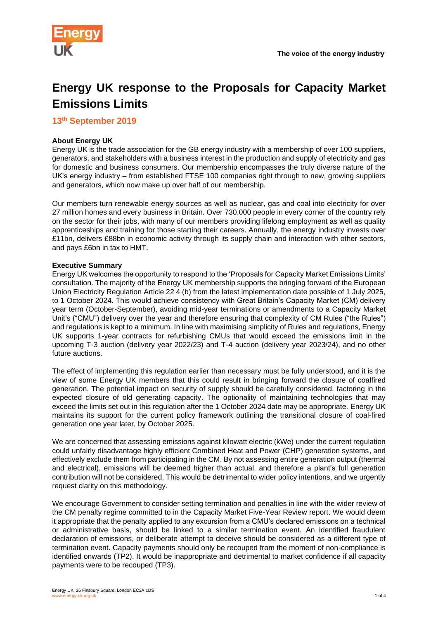



# **Energy UK response to the Proposals for Capacity Market Emissions Limits**

**13th September 2019**

# **About Energy UK**

Energy UK is the trade association for the GB energy industry with a membership of over 100 suppliers, generators, and stakeholders with a business interest in the production and supply of electricity and gas for domestic and business consumers. Our membership encompasses the truly diverse nature of the UK's energy industry – from established FTSE 100 companies right through to new, growing suppliers and generators, which now make up over half of our membership.

Our members turn renewable energy sources as well as nuclear, gas and coal into electricity for over 27 million homes and every business in Britain. Over 730,000 people in every corner of the country rely on the sector for their jobs, with many of our members providing lifelong employment as well as quality apprenticeships and training for those starting their careers. Annually, the energy industry invests over £11bn, delivers £88bn in economic activity through its supply chain and interaction with other sectors, and pays £6bn in tax to HMT.

# **Executive Summary**

Energy UK welcomes the opportunity to respond to the 'Proposals for Capacity Market Emissions Limits' consultation. The majority of the Energy UK membership supports the bringing forward of the European Union Electricity Regulation Article 22 4 (b) from the latest implementation date possible of 1 July 2025, to 1 October 2024. This would achieve consistency with Great Britain's Capacity Market (CM) delivery year term (October-September), avoiding mid-year terminations or amendments to a Capacity Market Unit's ("CMU") delivery over the year and therefore ensuring that complexity of CM Rules ("the Rules") and regulations is kept to a minimum. In line with maximising simplicity of Rules and regulations, Energy UK supports 1-year contracts for refurbishing CMUs that would exceed the emissions limit in the upcoming T-3 auction (delivery year 2022/23) and T-4 auction (delivery year 2023/24), and no other future auctions.

The effect of implementing this regulation earlier than necessary must be fully understood, and it is the view of some Energy UK members that this could result in bringing forward the closure of coalfired generation. The potential impact on security of supply should be carefully considered, factoring in the expected closure of old generating capacity. The optionality of maintaining technologies that may exceed the limits set out in this regulation after the 1 October 2024 date may be appropriate. Energy UK maintains its support for the current policy framework outlining the transitional closure of coal-fired generation one year later, by October 2025.

We are concerned that assessing emissions against kilowatt electric (kWe) under the current regulation could unfairly disadvantage highly efficient Combined Heat and Power (CHP) generation systems, and effectively exclude them from participating in the CM. By not assessing entire generation output (thermal and electrical), emissions will be deemed higher than actual, and therefore a plant's full generation contribution will not be considered. This would be detrimental to wider policy intentions, and we urgently request clarity on this methodology.

We encourage Government to consider setting termination and penalties in line with the wider review of the CM penalty regime committed to in the Capacity Market Five-Year Review report. We would deem it appropriate that the penalty applied to any excursion from a CMU's declared emissions on a technical or administrative basis, should be linked to a similar termination event. An identified fraudulent declaration of emissions, or deliberate attempt to deceive should be considered as a different type of termination event. Capacity payments should only be recouped from the moment of non-compliance is identified onwards (TP2). It would be inappropriate and detrimental to market confidence if all capacity payments were to be recouped (TP3).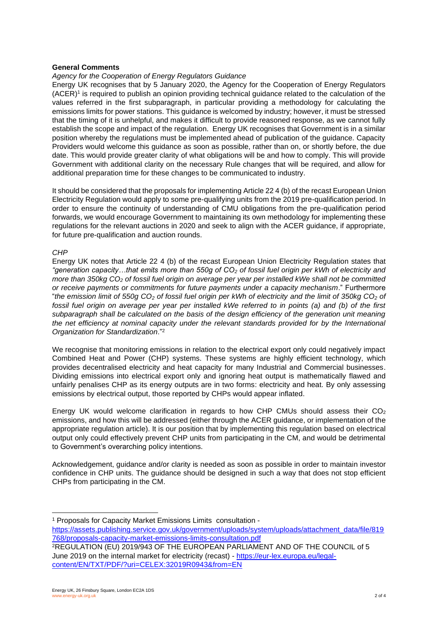#### **General Comments**

#### *Agency for the Cooperation of Energy Regulators Guidance*

Energy UK recognises that by 5 January 2020, the Agency for the Cooperation of Energy Regulators (ACER) $^1$  is required to publish an opinion providing technical guidance related to the calculation of the values referred in the first subparagraph, in particular providing a methodology for calculating the emissions limits for power stations. This guidance is welcomed by industry; however, it must be stressed that the timing of it is unhelpful, and makes it difficult to provide reasoned response, as we cannot fully establish the scope and impact of the regulation. Energy UK recognises that Government is in a similar position whereby the regulations must be implemented ahead of publication of the guidance. Capacity Providers would welcome this guidance as soon as possible, rather than on, or shortly before, the due date. This would provide greater clarity of what obligations will be and how to comply. This will provide Government with additional clarity on the necessary Rule changes that will be required, and allow for additional preparation time for these changes to be communicated to industry.

It should be considered that the proposals for implementing Article 22 4 (b) of the recast European Union Electricity Regulation would apply to some pre-qualifying units from the 2019 pre-qualification period. In order to ensure the continuity of understanding of CMU obligations from the pre-qualification period forwards, we would encourage Government to maintaining its own methodology for implementing these regulations for the relevant auctions in 2020 and seek to align with the ACER guidance, if appropriate, for future pre-qualification and auction rounds.

#### *CHP*

Energy UK notes that Article 22 4 (b) of the recast European Union Electricity Regulation states that *"generation capacity…that emits more than 550g of CO<sup>2</sup> of fossil fuel origin per kWh of electricity and more than 350kg CO<sup>2</sup> of fossil fuel origin on average per year per installed kWe shall not be committed or receive payments or commitments for future payments under a capacity mechanism*." Furthermore "*the emission limit of 550g CO<sup>2</sup> of fossil fuel origin per kWh of electricity and the limit of 350kg CO<sup>2</sup> of fossil fuel origin on average per year per installed kWe referred to in points (a) and (b) of the first subparagraph shall be calculated on the basis of the design efficiency of the generation unit meaning the net efficiency at nominal capacity under the relevant standards provided for by the International Organization for Standardization*."<sup>2</sup>

We recognise that monitoring emissions in relation to the electrical export only could negatively impact Combined Heat and Power (CHP) systems. These systems are highly efficient technology, which provides decentralised electricity and heat capacity for many Industrial and Commercial businesses. Dividing emissions into electrical export only and ignoring heat output is mathematically flawed and unfairly penalises CHP as its energy outputs are in two forms: electricity and heat. By only assessing emissions by electrical output, those reported by CHPs would appear inflated.

Energy UK would welcome clarification in regards to how CHP CMUs should assess their  $CO<sub>2</sub>$ emissions, and how this will be addressed (either through the ACER guidance, or implementation of the appropriate regulation article). It is our position that by implementing this regulation based on electrical output only could effectively prevent CHP units from participating in the CM, and would be detrimental to Government's overarching policy intentions.

Acknowledgement, guidance and/or clarity is needed as soon as possible in order to maintain investor confidence in CHP units. The guidance should be designed in such a way that does not stop efficient CHPs from participating in the CM.

<sup>1</sup> Proposals for Capacity Market Emissions Limits consultation [https://assets.publishing.service.gov.uk/government/uploads/system/uploads/attachment\\_data/file/819](https://assets.publishing.service.gov.uk/government/uploads/system/uploads/attachment_data/file/819768/proposals-capacity-market-emissions-limits-consultation.pdf) [768/proposals-capacity-market-emissions-limits-consultation.pdf](https://assets.publishing.service.gov.uk/government/uploads/system/uploads/attachment_data/file/819768/proposals-capacity-market-emissions-limits-consultation.pdf)

<sup>2</sup>REGULATION (EU) 2019/943 OF THE EUROPEAN PARLIAMENT AND OF THE COUNCIL of 5 June 2019 on the internal market for electricity (recast) - [https://eur-lex.europa.eu/legal](https://eur-lex.europa.eu/legal-content/EN/TXT/PDF/?uri=CELEX:32019R0943&from=EN)[content/EN/TXT/PDF/?uri=CELEX:32019R0943&from=EN](https://eur-lex.europa.eu/legal-content/EN/TXT/PDF/?uri=CELEX:32019R0943&from=EN)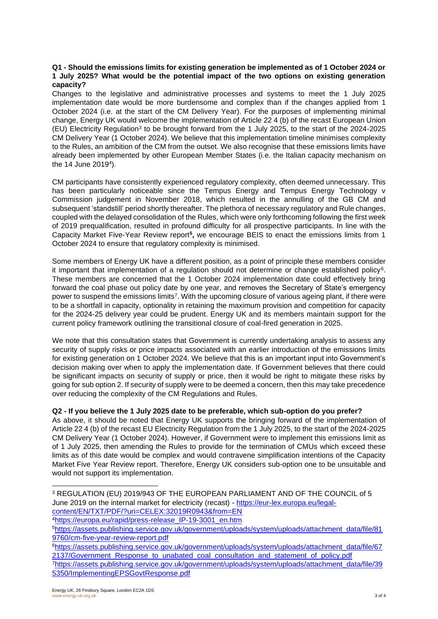### **Q1 - Should the emissions limits for existing generation be implemented as of 1 October 2024 or 1 July 2025? What would be the potential impact of the two options on existing generation capacity?**

Changes to the legislative and administrative processes and systems to meet the 1 July 2025 implementation date would be more burdensome and complex than if the changes applied from 1 October 2024 (i.e. at the start of the CM Delivery Year). For the purposes of implementing minimal change, Energy UK would welcome the implementation of Article 22 4 (b) of the recast European Union (EU) Electricity Regulation<sup>3</sup> to be brought forward from the 1 July 2025, to the start of the 2024-2025 CM Delivery Year (1 October 2024). We believe that this implementation timeline minimises complexity to the Rules, an ambition of the CM from the outset. We also recognise that these emissions limits have already been implemented by other European Member States (i.e. the Italian capacity mechanism on the 14 June 2019<sup>4</sup> ).

CM participants have consistently experienced regulatory complexity, often deemed unnecessary. This has been particularly noticeable since the Tempus Energy and Tempus Energy Technology v Commission judgement in November 2018, which resulted in the annulling of the GB CM and subsequent 'standstill' period shortly thereafter. The plethora of necessary regulatory and Rule changes, coupled with the delayed consolidation of the Rules, which were only forthcoming following the first week of 2019 prequalification, resulted in profound difficulty for all prospective participants. In line with the Capacity Market Five-Year Review report<sup>5</sup>, we encourage BEIS to enact the emissions limits from 1 October 2024 to ensure that regulatory complexity is minimised.

Some members of Energy UK have a different position, as a point of principle these members consider it important that implementation of a regulation should not determine or change established policy<sup>6</sup>. These members are concerned that the 1 October 2024 implementation date could effectively bring forward the coal phase out policy date by one year, and removes the Secretary of State's emergency power to suspend the emissions limits<sup>7</sup>. With the upcoming closure of various ageing plant, if there were to be a shortfall in capacity, optionality in retaining the maximum provision and competition for capacity for the 2024-25 delivery year could be prudent. Energy UK and its members maintain support for the current policy framework outlining the transitional closure of coal-fired generation in 2025.

We note that this consultation states that Government is currently undertaking analysis to assess any security of supply risks or price impacts associated with an earlier introduction of the emissions limits for existing generation on 1 October 2024. We believe that this is an important input into Government's decision making over when to apply the implementation date. If Government believes that there could be significant impacts on security of supply or price, then it would be right to mitigate these risks by going for sub option 2. If security of supply were to be deemed a concern, then this may take precedence over reducing the complexity of the CM Regulations and Rules.

# **Q2 - If you believe the 1 July 2025 date to be preferable, which sub-option do you prefer?**

As above, it should be noted that Energy UK supports the bringing forward of the implementation of Article 22 4 (b) of the recast EU Electricity Regulation from the 1 July 2025, to the start of the 2024-2025 CM Delivery Year (1 October 2024). However, if Government were to implement this emissions limit as of 1 July 2025, then amending the Rules to provide for the termination of CMUs which exceed these limits as of this date would be complex and would contravene simplification intentions of the Capacity Market Five Year Review report. Therefore, Energy UK considers sub-option one to be unsuitable and would not support its implementation.

<sup>3</sup> REGULATION (EU) 2019/943 OF THE EUROPEAN PARLIAMENT AND OF THE COUNCIL of 5 June 2019 on the internal market for electricity (recast) - [https://eur-lex.europa.eu/legal](https://eur-lex.europa.eu/legal-content/EN/TXT/PDF/?uri=CELEX:32019R0943&from=EN)[content/EN/TXT/PDF/?uri=CELEX:32019R0943&from=EN](https://eur-lex.europa.eu/legal-content/EN/TXT/PDF/?uri=CELEX:32019R0943&from=EN)

<sup>4</sup>[https://europa.eu/rapid/press-release\\_IP-19-3001\\_en.htm](https://europa.eu/rapid/press-release_IP-19-3001_en.htm)

<sup>5</sup>[https://assets.publishing.service.gov.uk/government/uploads/system/uploads/attachment\\_data/file/81](https://assets.publishing.service.gov.uk/government/uploads/system/uploads/attachment_data/file/819760/cm-five-year-review-report.pdf) [9760/cm-five-year-review-report.pdf](https://assets.publishing.service.gov.uk/government/uploads/system/uploads/attachment_data/file/819760/cm-five-year-review-report.pdf)

<sup>6</sup>[https://assets.publishing.service.gov.uk/government/uploads/system/uploads/attachment\\_data/file/67](https://assets.publishing.service.gov.uk/government/uploads/system/uploads/attachment_data/file/672137/Government_Response_to_unabated_coal_consultation_and_statement_of_policy.pdf) [2137/Government\\_Response\\_to\\_unabated\\_coal\\_consultation\\_and\\_statement\\_of\\_policy.pdf](https://assets.publishing.service.gov.uk/government/uploads/system/uploads/attachment_data/file/672137/Government_Response_to_unabated_coal_consultation_and_statement_of_policy.pdf)

<sup>7</sup>[https://assets.publishing.service.gov.uk/government/uploads/system/uploads/attachment\\_data/file/39](https://assets.publishing.service.gov.uk/government/uploads/system/uploads/attachment_data/file/395350/ImplementingEPSGovtResponse.pdf) [5350/ImplementingEPSGovtResponse.pdf](https://assets.publishing.service.gov.uk/government/uploads/system/uploads/attachment_data/file/395350/ImplementingEPSGovtResponse.pdf)